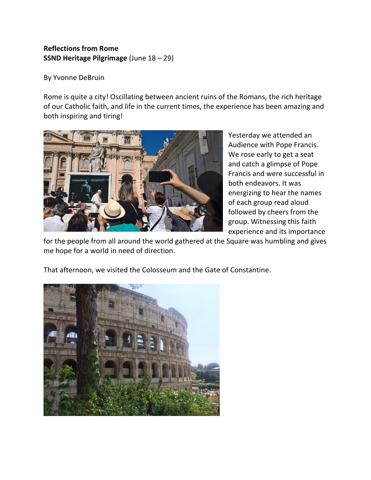## **Reflections from Rome SSND Heritage Pilgrimage** (June 18 – 29)

By Yvonne DeBruin

Rome is quite a city! Oscillating between ancient ruins of the Romans, the rich heritage of our Catholic faith, and life in the current times, the experience has been amazing and both inspiring and tiring!



Yesterday we attended an Audience with Pope Francis. We rose early to get a seat and catch a glimpse of Pope Francis and were successful in both endeavors. It was energizing to hear the names of each group read aloud followed by cheers from the group. Witnessing this faith experience and its importance

for the people from all around the world gathered at the Square was humbling and gives me hope for a world in need of direction.



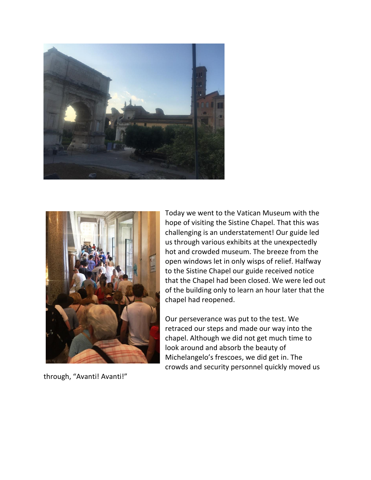



through, "Avanti! Avanti!"

Today we went to the Vatican Museum with the hope of visiting the Sistine Chapel. That this was challenging is an understatement! Our guide led us through various exhibits at the unexpectedly hot and crowded museum. The breeze from the open windows let in only wisps of relief. Halfway to the Sistine Chapel our guide received notice that the Chapel had been closed. We were led out of the building only to learn an hour later that the chapel had reopened.

Our perseverance was put to the test. We retraced our steps and made our way into the chapel. Although we did not get much time to look around and absorb the beauty of Michelangelo's frescoes, we did get in. The crowds and security personnel quickly moved us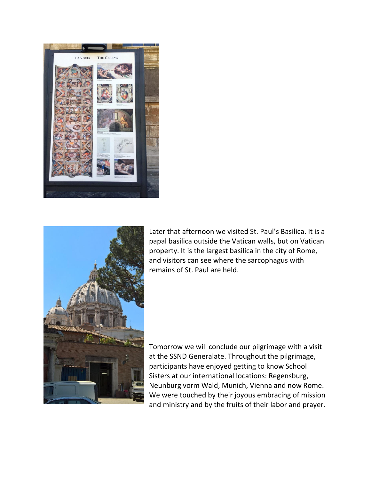



Later that afternoon we visited St. Paul's Basilica. It is a papal basilica outside the Vatican walls, but on Vatican property. It is the largest basilica in the city of Rome, and visitors can see where the sarcophagus with remains of St. Paul are held.

Tomorrow we will conclude our pilgrimage with a visit at the SSND Generalate. Throughout the pilgrimage, participants have enjoyed getting to know School Sisters at our international locations: Regensburg, Neunburg vorm Wald, Munich, Vienna and now Rome. We were touched by their joyous embracing of mission and ministry and by the fruits of their labor and prayer.